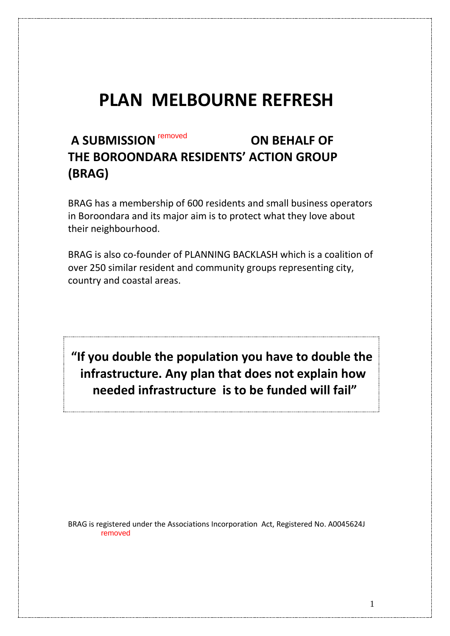# **PLAN MELBOURNE REFRESH**

# **A SUBMISSION ON BEHALF OF**  removed **THE BOROONDARA RESIDENTS' ACTION GROUP (BRAG)**

BRAG has a membership of 600 residents and small business operators in Boroondara and its major aim is to protect what they love about their neighbourhood.

BRAG is also co-founder of PLANNING BACKLASH which is a coalition of over 250 similar resident and community groups representing city, country and coastal areas.

**"If you double the population you have to double the infrastructure. Any plan that does not explain how needed infrastructure is to be funded will fail"**

BRAG is registered under the Associations Incorporation Act, Registered No. A0045624J removed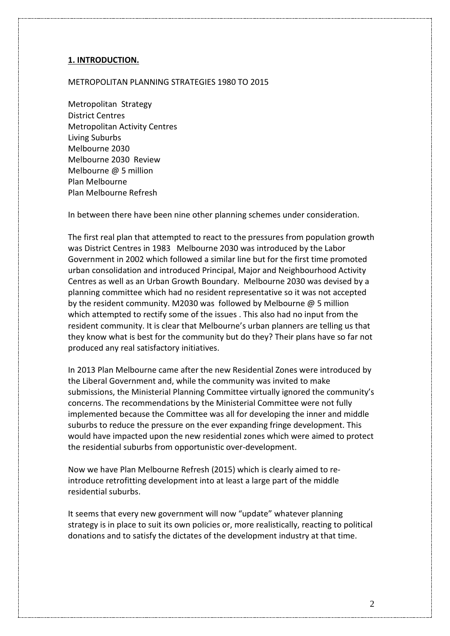#### **1. INTRODUCTION.**

#### METROPOLITAN PLANNING STRATEGIES 1980 TO 2015

Metropolitan Strategy District Centres Metropolitan Activity Centres Living Suburbs Melbourne 2030 Melbourne 2030 Review Melbourne @ 5 million Plan Melbourne Plan Melbourne Refresh

In between there have been nine other planning schemes under consideration.

The first real plan that attempted to react to the pressures from population growth was District Centres in 1983 Melbourne 2030 was introduced by the Labor Government in 2002 which followed a similar line but for the first time promoted urban consolidation and introduced Principal, Major and Neighbourhood Activity Centres as well as an Urban Growth Boundary. Melbourne 2030 was devised by a planning committee which had no resident representative so it was not accepted by the resident community. M2030 was followed by Melbourne @ 5 million which attempted to rectify some of the issues . This also had no input from the resident community. It is clear that Melbourne's urban planners are telling us that they know what is best for the community but do they? Their plans have so far not produced any real satisfactory initiatives.

In 2013 Plan Melbourne came after the new Residential Zones were introduced by the Liberal Government and, while the community was invited to make submissions, the Ministerial Planning Committee virtually ignored the community's concerns. The recommendations by the Ministerial Committee were not fully implemented because the Committee was all for developing the inner and middle suburbs to reduce the pressure on the ever expanding fringe development. This would have impacted upon the new residential zones which were aimed to protect the residential suburbs from opportunistic over-development.

Now we have Plan Melbourne Refresh (2015) which is clearly aimed to reintroduce retrofitting development into at least a large part of the middle residential suburbs.

It seems that every new government will now "update" whatever planning strategy is in place to suit its own policies or, more realistically, reacting to political donations and to satisfy the dictates of the development industry at that time.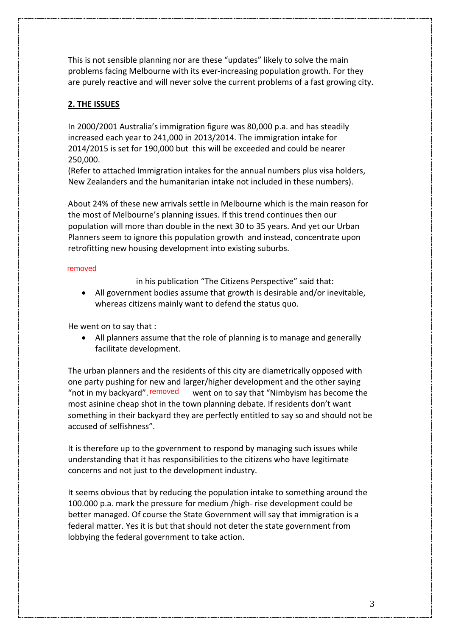This is not sensible planning nor are these "updates" likely to solve the main problems facing Melbourne with its ever-increasing population growth. For they are purely reactive and will never solve the current problems of a fast growing city.

#### **2. THE ISSUES**

In 2000/2001 Australia's immigration figure was 80,000 p.a. and has steadily increased each year to 241,000 in 2013/2014. The immigration intake for 2014/2015 is set for 190,000 but this will be exceeded and could be nearer 250,000.

(Refer to attached Immigration intakes for the annual numbers plus visa holders, New Zealanders and the humanitarian intake not included in these numbers).

About 24% of these new arrivals settle in Melbourne which is the main reason for the most of Melbourne's planning issues. If this trend continues then our population will more than double in the next 30 to 35 years. And yet our Urban Planners seem to ignore this population growth and instead, concentrate upon retrofitting new housing development into existing suburbs.

#### removed

in his publication "The Citizens Perspective" said that:

• All government bodies assume that growth is desirable and/or inevitable, whereas citizens mainly want to defend the status quo.

He went on to say that :

• All planners assume that the role of planning is to manage and generally facilitate development.

The urban planners and the residents of this city are diametrically opposed with one party pushing for new and larger/higher development and the other saying went on to say that "Nimbyism has become the most asinine cheap shot in the town planning debate. If residents don't want something in their backyard they are perfectly entitled to say so and should not be accused of selfishness". "not in my backyard". removed

It is therefore up to the government to respond by managing such issues while understanding that it has responsibilities to the citizens who have legitimate concerns and not just to the development industry.

It seems obvious that by reducing the population intake to something around the 100.000 p.a. mark the pressure for medium /high- rise development could be better managed. Of course the State Government will say that immigration is a federal matter. Yes it is but that should not deter the state government from lobbying the federal government to take action.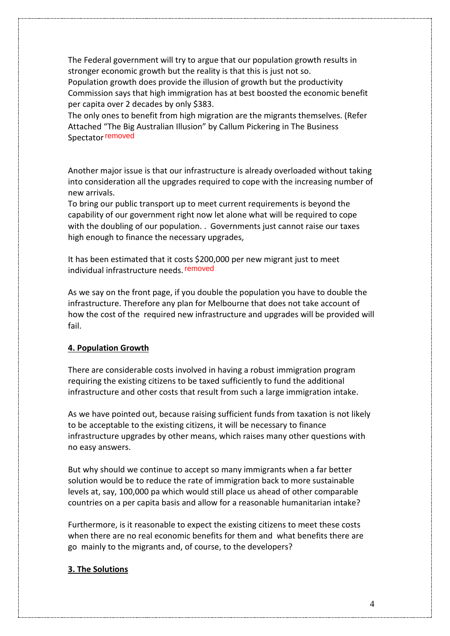The Federal government will try to argue that our population growth results in stronger economic growth but the reality is that this is just not so. Population growth does provide the illusion of growth but the productivity Commission says that high immigration has at best boosted the economic benefit per capita over 2 decades by only \$383.

The only ones to benefit from high migration are the migrants themselves. (Refer Attached "The Big Australian Illusion" by Callum Pickering in The Business Spectator removed

Another major issue is that our infrastructure is already overloaded without taking into consideration all the upgrades required to cope with the increasing number of new arrivals.

To bring our public transport up to meet current requirements is beyond the capability of our government right now let alone what will be required to cope with the doubling of our population. . Governments just cannot raise our taxes high enough to finance the necessary upgrades,

It has been estimated that it costs \$200,000 per new migrant just to meet individual infrastructure needs. removed

As we say on the front page, if you double the population you have to double the infrastructure. Therefore any plan for Melbourne that does not take account of how the cost of the required new infrastructure and upgrades will be provided will fail.

#### **4. Population Growth**

There are considerable costs involved in having a robust immigration program requiring the existing citizens to be taxed sufficiently to fund the additional infrastructure and other costs that result from such a large immigration intake.

As we have pointed out, because raising sufficient funds from taxation is not likely to be acceptable to the existing citizens, it will be necessary to finance infrastructure upgrades by other means, which raises many other questions with no easy answers.

But why should we continue to accept so many immigrants when a far better solution would be to reduce the rate of immigration back to more sustainable levels at, say, 100,000 pa which would still place us ahead of other comparable countries on a per capita basis and allow for a reasonable humanitarian intake?

Furthermore, is it reasonable to expect the existing citizens to meet these costs when there are no real economic benefits for them and what benefits there are go mainly to the migrants and, of course, to the developers?

#### **3. The Solutions**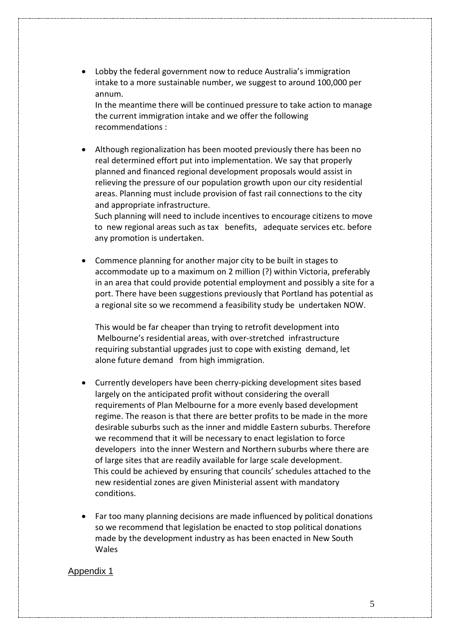• Lobby the federal government now to reduce Australia's immigration intake to a more sustainable number, we suggest to around 100,000 per annum.

In the meantime there will be continued pressure to take action to manage the current immigration intake and we offer the following recommendations :

• Although regionalization has been mooted previously there has been no real determined effort put into implementation. We say that properly planned and financed regional development proposals would assist in relieving the pressure of our population growth upon our city residential areas. Planning must include provision of fast rail connections to the city and appropriate infrastructure.

 Such planning will need to include incentives to encourage citizens to move to new regional areas such as tax benefits, adequate services etc. before any promotion is undertaken.

• Commence planning for another major city to be built in stages to accommodate up to a maximum on 2 million (?) within Victoria, preferably in an area that could provide potential employment and possibly a site for a port. There have been suggestions previously that Portland has potential as a regional site so we recommend a feasibility study be undertaken NOW.

This would be far cheaper than trying to retrofit development into Melbourne's residential areas, with over-stretched infrastructure requiring substantial upgrades just to cope with existing demand, let alone future demand from high immigration.

- Currently developers have been cherry-picking development sites based largely on the anticipated profit without considering the overall requirements of Plan Melbourne for a more evenly based development regime. The reason is that there are better profits to be made in the more desirable suburbs such as the inner and middle Eastern suburbs. Therefore we recommend that it will be necessary to enact legislation to force developers into the inner Western and Northern suburbs where there are of large sites that are readily available for large scale development. This could be achieved by ensuring that councils' schedules attached to the new residential zones are given Ministerial assent with mandatory conditions.
- Far too many planning decisions are made influenced by political donations so we recommend that legislation be enacted to stop political donations made by the development industry as has been enacted in New South Wales

#### Appendix 1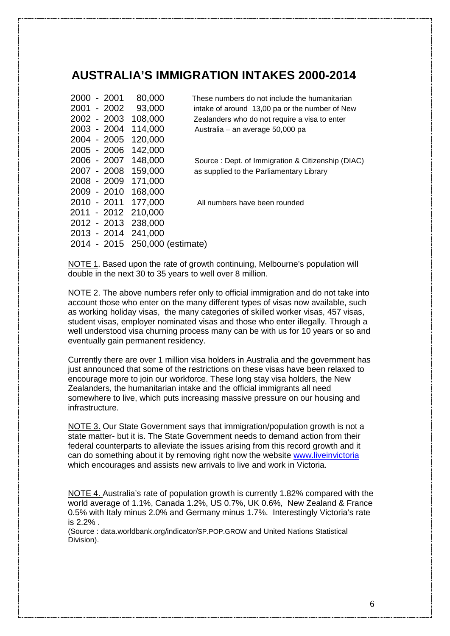### **AUSTRALIA'S IMMIGRATION INTAKES 2000-2014**

| 2000        | $-2001$     | 80,000  | These r            |
|-------------|-------------|---------|--------------------|
| 2001 - 2002 |             | 93,000  | intake             |
| 2002 - 2003 |             | 108,000 | Zealan             |
| 2003 - 2004 |             | 114,000 | Austra             |
| 2004 - 2005 |             | 120,000 |                    |
|             | 2005 - 2006 | 142,000 |                    |
| 2006 - 2007 |             | 148,000 | Source             |
| 2007 - 2008 |             | 159,000 | as sup             |
| 2008 - 2009 |             | 171,000 |                    |
| 2009 - 2010 |             | 168,000 |                    |
| 2010 - 2011 |             | 177,000 | All nu             |
| 2011 - 2012 |             | 210,000 |                    |
| 2012 - 2013 |             | 238,000 |                    |
| 2013 - 2014 |             | 241,000 |                    |
| 2014 - 2015 |             |         | 250,000 (estimate) |
|             |             |         |                    |

numbers do not include the humanitarian of around 13,00 pa or the number of New ders who do not require a visa to enter  $\text{lia}$  – an average 50,000 pa

e : Dept. of Immigration & Citizenship (DIAC) plied to the Parliamentary Library

mbers have been rounded

NOTE 1. Based upon the rate of growth continuing, Melbourne's population will double in the next 30 to 35 years to well over 8 million.

NOTE 2. The above numbers refer only to official immigration and do not take into account those who enter on the many different types of visas now available, such as working holiday visas, the many categories of skilled worker visas, 457 visas, student visas, employer nominated visas and those who enter illegally. Through a well understood visa churning process many can be with us for 10 years or so and eventually gain permanent residency.

Currently there are over 1 million visa holders in Australia and the government has just announced that some of the restrictions on these visas have been relaxed to encourage more to join our workforce. These long stay visa holders, the New Zealanders, the humanitarian intake and the official immigrants all need somewhere to live, which puts increasing massive pressure on our housing and infrastructure.

NOTE 3. Our State Government says that immigration/population growth is not a state matter- but it is. The State Government needs to demand action from their federal counterparts to alleviate the issues arising from this record growth and it can do something about it by removing right now the website [www.liveinvictoria](http://www.liveinvictoria/) which encourages and assists new arrivals to live and work in Victoria.

NOTE 4. Australia's rate of population growth is currently 1.82% compared with the world average of 1.1%, Canada 1.2%, US 0.7%, UK 0.6%, New Zealand & France 0.5% with Italy minus 2.0% and Germany minus 1.7%. Interestingly Victoria's rate is 2.2% .

(Source : data.worldbank.org/indicator/SP.POP.GROW and United Nations Statistical Division).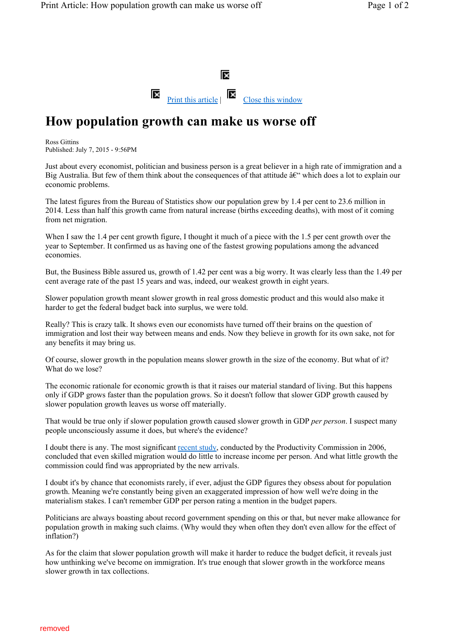

### **How population growth can make us worse off**

Ross Gittins Published: July 7, 2015 - 9:56PM

Just about every economist, politician and business person is a great believer in a high rate of immigration and a Big Australia. But few of them think about the consequences of that attitude  $\hat{a}\hat{\epsilon}^{\prime\prime}$  which does a lot to explain our economic problems.

The latest figures from the Bureau of Statistics show our population grew by 1.4 per cent to 23.6 million in 2014. Less than half this growth came from natural increase (births exceeding deaths), with most of it coming from net migration.

When I saw the 1.4 per cent growth figure, I thought it much of a piece with the 1.5 per cent growth over the year to September. It confirmed us as having one of the fastest growing populations among the advanced economies.

But, the Business Bible assured us, growth of 1.42 per cent was a big worry. It was clearly less than the 1.49 per cent average rate of the past 15 years and was, indeed, our weakest growth in eight years.

Slower population growth meant slower growth in real gross domestic product and this would also make it harder to get the federal budget back into surplus, we were told.

Really? This is crazy talk. It shows even our economists have turned off their brains on the question of immigration and lost their way between means and ends. Now they believe in growth for its own sake, not for any benefits it may bring us.

Of course, slower growth in the population means slower growth in the size of the economy. But what of it? What do we lose?

The economic rationale for economic growth is that it raises our material standard of living. But this happens only if GDP grows faster than the population grows. So it doesn't follow that slower GDP growth caused by slower population growth leaves us worse off materially.

That would be true only if slower population growth caused slower growth in GDP *per person*. I suspect many people unconsciously assume it does, but where's the evidence?

I doubt there is any. The most significant recent study, conducted by the Productivity Commission in 2006, concluded that even skilled migration would do little to increase income per person. And what little growth the commission could find was appropriated by the new arrivals.

I doubt it's by chance that economists rarely, if ever, adjust the GDP figures they obsess about for population growth. Meaning we're constantly being given an exaggerated impression of how well we're doing in the materialism stakes. I can't remember GDP per person rating a mention in the budget papers.

Politicians are always boasting about record government spending on this or that, but never make allowance for population growth in making such claims. (Why would they when often they don't even allow for the effect of inflation?)

As for the claim that slower population growth will make it harder to reduce the budget deficit, it reveals just how unthinking we've become on immigration. It's true enough that slower growth in the workforce means slower growth in tax collections.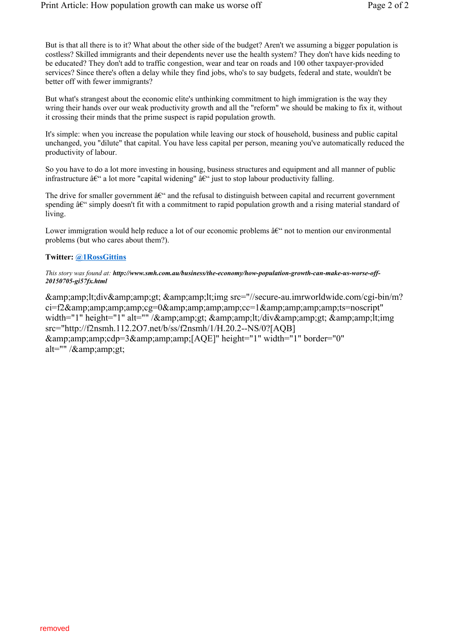But is that all there is to it? What about the other side of the budget? Aren't we assuming a bigger population is costless? Skilled immigrants and their dependents never use the health system? They don't have kids needing to be educated? They don't add to traffic congestion, wear and tear on roads and 100 other taxpayer-provided services? Since there's often a delay while they find jobs, who's to say budgets, federal and state, wouldn't be better off with fewer immigrants?

But what's strangest about the economic elite's unthinking commitment to high immigration is the way they wring their hands over our weak productivity growth and all the "reform" we should be making to fix it, without it crossing their minds that the prime suspect is rapid population growth.

It's simple: when you increase the population while leaving our stock of household, business and public capital unchanged, you "dilute" that capital. You have less capital per person, meaning you've automatically reduced the productivity of labour.

So you have to do a lot more investing in housing, business structures and equipment and all manner of public infrastructure  $\hat{a}\hat{\epsilon}^{\prime\prime}$  a lot more "capital widening"  $\hat{a}\hat{\epsilon}^{\prime\prime}$  just to stop labour productivity falling.

The drive for smaller government  $\hat{a}\epsilon^{\prime\prime}$  and the refusal to distinguish between capital and recurrent government spending  $\hat{a}\epsilon$ " simply doesn't fit with a commitment to rapid population growth and a rising material standard of living.

Lower immigration would help reduce a lot of our economic problems  $\hat{a}\hat{\epsilon}^{\alpha}$  not to mention our environmental problems (but who cares about them?).

#### **Twitter: @1RossGittins**

#### *This story was found at: http://www.smh.com.au/business/the-economy/how-population-growth-can-make-us-worse-off-20150705-gi57fx.html*

<div> <img src="//secure-au.imrworldwide.com/cgi-bin/m?  $ci=12\&ce=0\&ce=1\&c=1\&c=1\&c=1\&c=1\&c=1\&c=1\&c=1\&c=1\&c=1\&a=1\&a=1\&a=1\&a=1\&a=1\&a=1\&a=1\&$ width="1" height="1" alt="" / $\&$ amp;amp;gt;  $\&$ amp;amp;lt;/div $\&$ amp;amp;gt;  $\&$ amp;amp;lt;img src="http://f2nsmh.112.2O7.net/b/ss/f2nsmh/1/H.20.2--NS/0?[AQB]  $&:amp:amp:amp:amp:cd0 = 3&:amp:amp:amp:amp:1 - [AOE]'' height="1" width="1" border="0"$ alt=""  $\alpha$  /  $\alpha$  amp: amp: gt;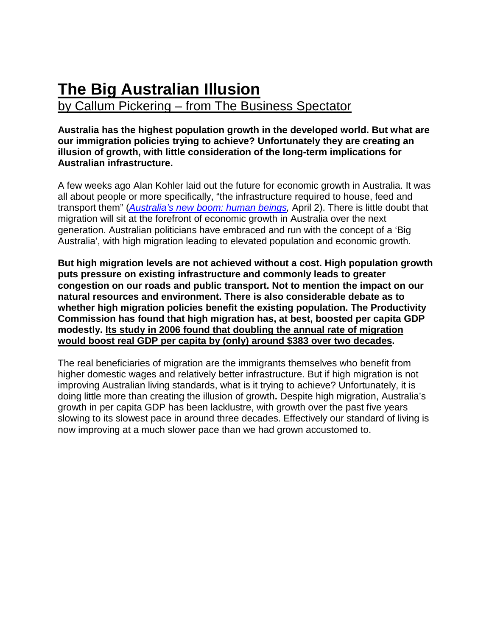## **The Big Australian Illusion**  by Callum Pickering – from The Business Spectator

#### **Australia has the highest population growth in the developed world. But what are our immigration policies trying to achieve? Unfortunately they are creating an illusion of growth, with little consideration of the long-term implications for Australian infrastructure.**

A few weeks ago Alan Kohler laid out the future for economic growth in Australia. It was all about people or more specifically, "the infrastructure required to house, feed and transport them" (*[Australia's new boom: human beings,](http://www.businessspectator.com.au/article/2014/4/2/economy/australias-new-boom-human-beings)* April 2). There is little doubt that migration will sit at the forefront of economic growth in Australia over the next generation. Australian politicians have embraced and run with the concept of a 'Big Australia', with high migration leading to elevated population and economic growth.

**But high migration levels are not achieved without a cost. High population growth puts pressure on existing infrastructure and commonly leads to greater congestion on our roads and public transport. Not to mention the impact on our natural resources and environment. There is also considerable debate as to whether high migration policies benefit the existing population. The Productivity Commission has found that high migration has, at best, boosted per capita GDP modestly. Its study in 2006 found that doubling the annual rate of migration would boost real GDP per capita by (only) around \$383 over two decades.**

The real beneficiaries of migration are the immigrants themselves who benefit from higher domestic wages and relatively better infrastructure. But if high migration is not improving Australian living standards, what is it trying to achieve? Unfortunately, it is doing little more than creating the illusion of growth**.** Despite high migration, Australia's growth in per capita GDP has been lacklustre, with growth over the past five years slowing to its slowest pace in around three decades. Effectively our standard of living is now improving at a much slower pace than we had grown accustomed to.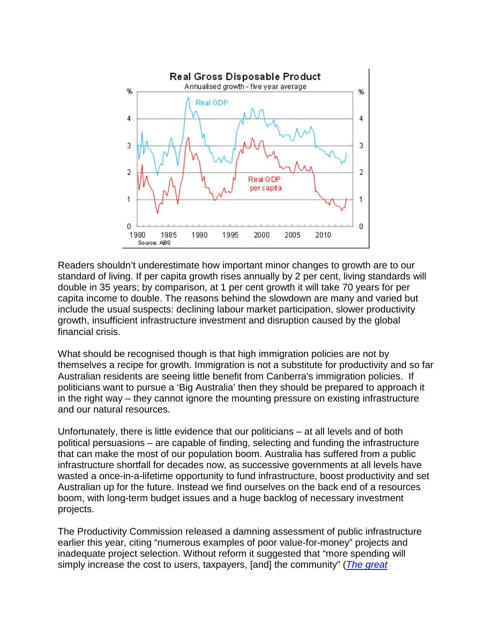

Readers shouldn't underestimate how important minor changes to growth are to our standard of living. If per capita growth rises annually by 2 per cent, living standards will double in 35 years; by comparison, at 1 per cent growth it will take 70 years for per capita income to double. The reasons behind the slowdown are many and varied but include the usual suspects: declining labour market participation, slower productivity growth, insufficient infrastructure investment and disruption caused by the global financial crisis.

What should be recognised though is that high immigration policies are not by themselves a recipe for growth. Immigration is not a substitute for productivity and so far Australian residents are seeing little benefit from Canberra's immigration policies. If politicians want to pursue a 'Big Australia' then they should be prepared to approach it in the right way – they cannot ignore the mounting pressure on existing infrastructure and our natural resources.

Unfortunately, there is little evidence that our politicians – at all levels and of both political persuasions – are capable of finding, selecting and funding the infrastructure that can make the most of our population boom. Australia has suffered from a public infrastructure shortfall for decades now, as successive governments at all levels have wasted a once-in-a-lifetime opportunity to fund infrastructure, boost productivity and set Australian up for the future. Instead we find ourselves on the back end of a resources boom, with long-term budget issues and a huge backlog of necessary investment projects.

The Productivity Commission released a damning assessment of public infrastructure earlier this year, citing "numerous examples of poor value-for-money" projects and inadequate project selection. Without reform it suggested that "more spending will simply increase the cost to users, taxpayers, [and] the community" (*[The great](http://www.businessspectator.com.au/article/2014/3/17/economy/great-infrastructure-drain-must-be-plugged)*